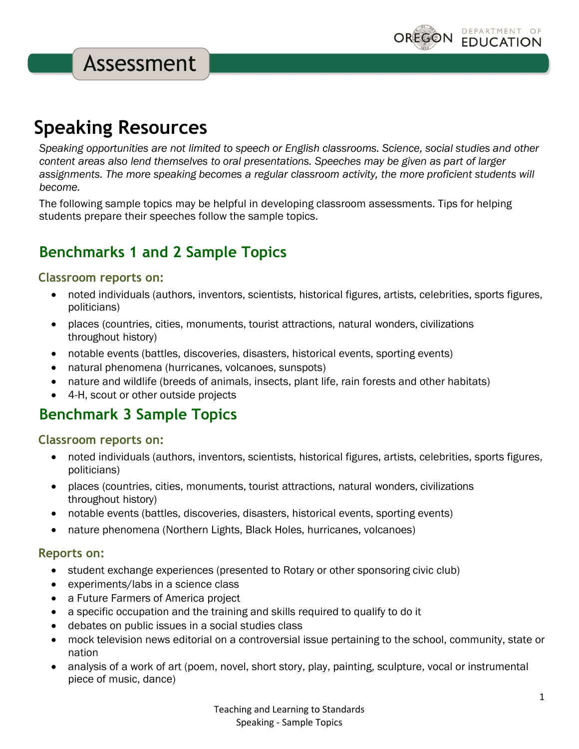# **Speaking Resources**

*Speaking opportunities are not limited to speech or English classrooms. Science, social studies and other content areas also lend themselves to oral presentations. Speeches may be given as part of larger assignments. The more speaking becomes a regular classroom activity, the more proficient students will become.*

The following sample topics may be helpful in developing classroom assessments. Tips for helping students prepare their speeches follow the sample topics.

# **Benchmarks 1 and 2 Sample Topics**

#### **Classroom reports on:**

- noted individuals (authors, inventors, scientists, historical figures, artists, celebrities, sports figures, politicians)
- places (countries, cities, monuments, tourist attractions, natural wonders, civilizations throughout history)
- notable events (battles, discoveries, disasters, historical events, sporting events)
- natural phenomena (hurricanes, volcanoes, sunspots)
- nature and wildlife (breeds of animals, insects, plant life, rain forests and other habitats)
- 4-H, scout or other outside projects

## **Benchmark 3 Sample Topics**

#### **Classroom reports on:**

- noted individuals (authors, inventors, scientists, historical figures, artists, celebrities, sports figures, politicians)
- places (countries, cities, monuments, tourist attractions, natural wonders, civilizations throughout history)
- notable events (battles, discoveries, disasters, historical events, sporting events)
- nature phenomena (Northern Lights, Black Holes, hurricanes, volcanoes)

#### **Reports on:**

- student exchange experiences (presented to Rotary or other sponsoring civic club)
- experiments/labs in a science class
- a Future Farmers of America project
- a specific occupation and the training and skills required to qualify to do it
- debates on public issues in a social studies class
- mock television news editorial on a controversial issue pertaining to the school, community, state or nation
- analysis of a work of art (poem, novel, short story, play, painting, sculpture, vocal or instrumental piece of music, dance)